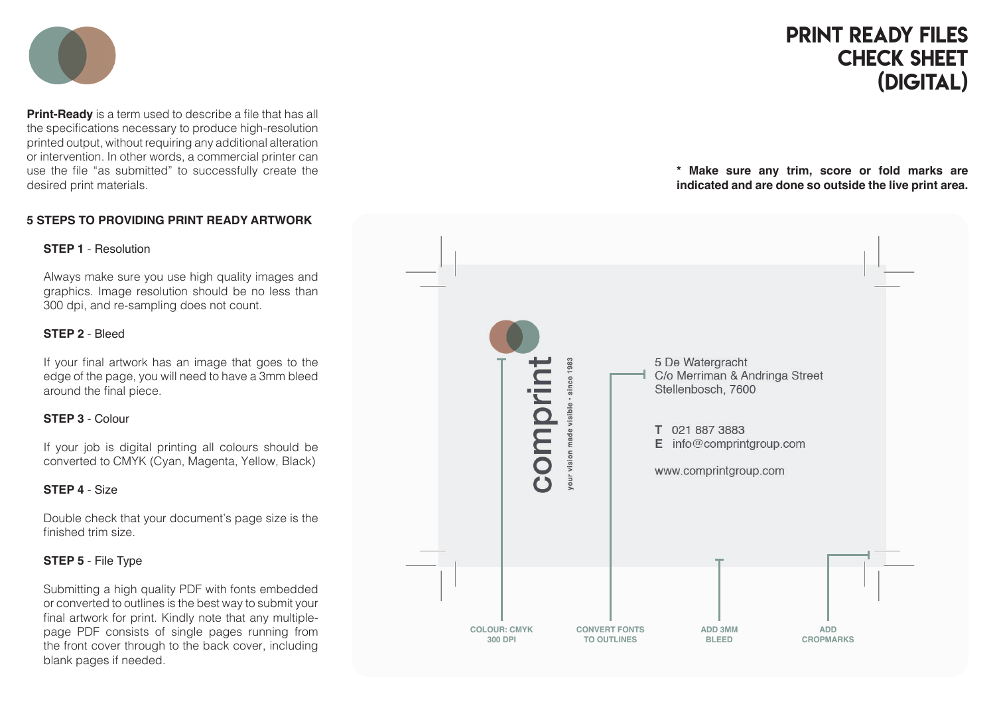

**Print-Ready** is a term used to describe a file that has all the specifications necessary to produce high-resolution printed output, without requiring any additional alteration or intervention. In other words, a commercial printer can use the file "as submitted" to successfully create the desired print materials.

## **5 STEPS TO PROVIDING PRINT READY ARTWORK**

#### **STEP 1** - Resolution

Always make sure you use high quality images and graphics. Image resolution should be no less than 300 dpi, and re-sampling does not count.

#### **STEP 2** - Bleed

If your final artwork has an image that goes to the edge of the page, you will need to have a 3mm bleed around the final piece.

## **STEP 3** - Colour

If your job is digital printing all colours should be converted to CMYK (Cyan, Magenta, Yellow, Black)

## **STEP 4** - Size

Double check that your document's page size is the finished trim size.

## **STEP 5** - File Type

Submitting a high quality PDF with fonts embedded or converted to outlines is the best way to submit your final artwork for print. Kindly note that any multiplepage PDF consists of single pages running from the front cover through to the back cover, including blank pages if needed.

# print ready files check sheet (DIGITAL)

**\* Make sure any trim, score or fold marks are indicated and are done so outside the live print area.**